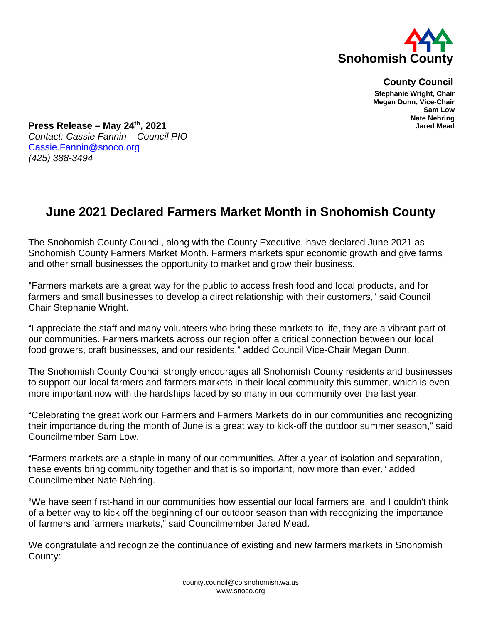

**County Council Stephanie Wright, Chair Megan Dunn, Vice-Chair Sam Low Nate Nehring Jared Mead**

**Press Release – May 24th, 2021** *Contact: Cassie Fannin – Council PIO* [Cassie.Fannin@snoco.org](mailto:Cassie.Fannin@snoco.org) *(425) 388-3494*

## **June 2021 Declared Farmers Market Month in Snohomish County**

The Snohomish County Council, along with the County Executive, have declared June 2021 as Snohomish County Farmers Market Month. Farmers markets spur economic growth and give farms and other small businesses the opportunity to market and grow their business.

"Farmers markets are a great way for the public to access fresh food and local products, and for farmers and small businesses to develop a direct relationship with their customers," said Council Chair Stephanie Wright.

"I appreciate the staff and many volunteers who bring these markets to life, they are a vibrant part of our communities. Farmers markets across our region offer a critical connection between our local food growers, craft businesses, and our residents," added Council Vice-Chair Megan Dunn.

The Snohomish County Council strongly encourages all Snohomish County residents and businesses to support our local farmers and farmers markets in their local community this summer, which is even more important now with the hardships faced by so many in our community over the last year.

"Celebrating the great work our Farmers and Farmers Markets do in our communities and recognizing their importance during the month of June is a great way to kick-off the outdoor summer season," said Councilmember Sam Low.

"Farmers markets are a staple in many of our communities. After a year of isolation and separation, these events bring community together and that is so important, now more than ever," added Councilmember Nate Nehring.

"We have seen first-hand in our communities how essential our local farmers are, and I couldn't think of a better way to kick off the beginning of our outdoor season than with recognizing the importance of farmers and farmers markets," said Councilmember Jared Mead.

We congratulate and recognize the continuance of existing and new farmers markets in Snohomish County: